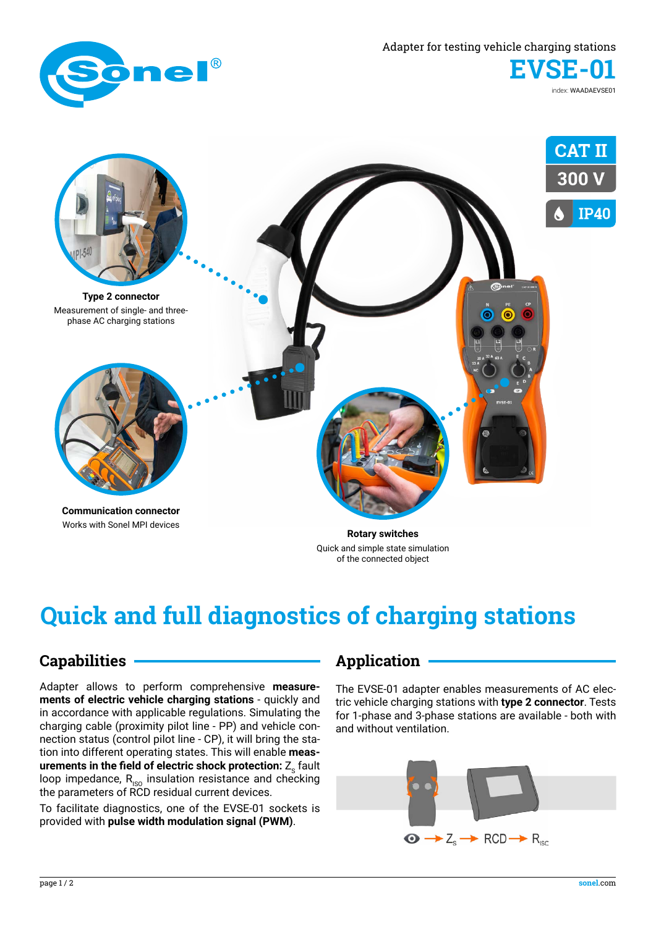

Adapter for testing vehicle charging stations

**EVSE-01**

index: WAADAEVSE01



**Communication connector** Works with Sonel MPI devices

**Rotary switches** Quick and simple state simulation of the connected object

# **Quick and full diagnostics of charging stations**

#### **Capabilities**

Adapter allows to perform comprehensive **measurements of electric vehicle charging stations** - quickly and in accordance with applicable regulations. Simulating the charging cable (proximity pilot line - PP) and vehicle connection status (control pilot line - CP), it will bring the station into different operating states. This will enable **measurements in the field of electric shock protection: Z**<sub>c</sub> fault loop impedance,  $R_{\rm iso}$  insulation resistance and checking the parameters of RCD residual current devices.

To facilitate diagnostics, one of the EVSE-01 sockets is provided with **pulse width modulation signal (PWM)**.

#### **Application**

The EVSE-01 adapter enables measurements of AC electric vehicle charging stations with **type 2 connector**. Tests for 1-phase and 3-phase stations are available - both with and without ventilation.